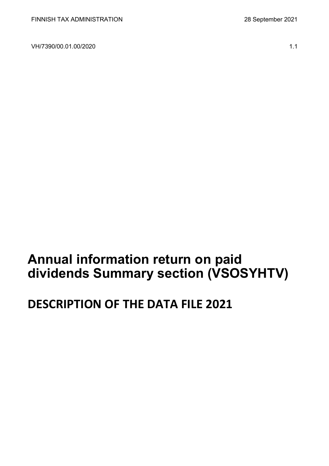VH/7390/00.01.00/2020 1.1

# **Annual information return on paid dividends Summary section (VSOSYHTV)**

# **DESCRIPTION OF THE DATA FILE 2021**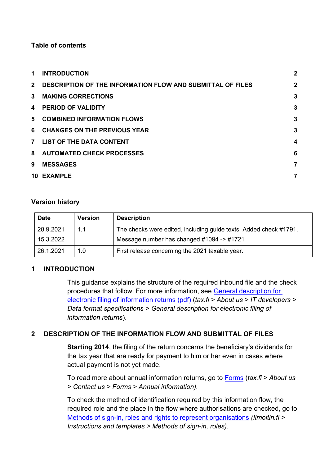# **Table of contents**

| 1.          | <b>INTRODUCTION</b>                                               | $\overline{2}$ |
|-------------|-------------------------------------------------------------------|----------------|
| $2^{\circ}$ | <b>DESCRIPTION OF THE INFORMATION FLOW AND SUBMITTAL OF FILES</b> | $\overline{2}$ |
| $3^{\circ}$ | <b>MAKING CORRECTIONS</b>                                         | 3              |
| 4           | <b>PERIOD OF VALIDITY</b>                                         | 3              |
| 5.          | <b>COMBINED INFORMATION FLOWS</b>                                 | 3              |
| 6           | <b>CHANGES ON THE PREVIOUS YEAR</b>                               | 3              |
|             | 7 LIST OF THE DATA CONTENT                                        | 4              |
|             | 8 AUTOMATED CHECK PROCESSES                                       | 6              |
| 9           | <b>MESSAGES</b>                                                   | 7              |
|             | 10 EXAMPLE                                                        | 7              |

# **Version history**

| <b>Date</b> | <b>Version</b> | <b>Description</b>                                                |
|-------------|----------------|-------------------------------------------------------------------|
| 28.9.2021   | 1.1            | The checks were edited, including guide texts. Added check #1791. |
| 15.3.2022   |                | Message number has changed #1094 -> #1721                         |
| 26.1.2021   | 1.0            | First release concerning the 2021 taxable year.                   |

# <span id="page-1-0"></span>**1 INTRODUCTION**

This guidance explains the structure of the required inbound file and the check procedures that follow. For more information, see [General description for](https://www.vero.fi/globalassets/tietoa-verohallinnosta/ohjelmistokehittajille/s%C3%A4hk%C3%B6isen-ilmoittamisen-yleiskuvaus2.pdf)  [electronic filing of information returns \(pdf\)](https://www.vero.fi/globalassets/tietoa-verohallinnosta/ohjelmistokehittajille/s%C3%A4hk%C3%B6isen-ilmoittamisen-yleiskuvaus2.pdf) (*tax.fi > About us > IT developers > Data format specifications > General description for electronic filing of information returns*).

# <span id="page-1-1"></span>**2 DESCRIPTION OF THE INFORMATION FLOW AND SUBMITTAL OF FILES**

**Starting 2014**, the filing of the return concerns the beneficiary's dividends for the tax year that are ready for payment to him or her even in cases where actual payment is not yet made.

To read more about annual information returns, go to [Forms](https://www.vero.fi/tietoa-verohallinnosta/yhteystiedot-ja-asiointi/lomakkeet/?page=1&tag=56679) (*tax.fi > About us > Contact us > Forms > Annual information).*

To check the method of identification required by this information flow, the required role and the place in the flow where authorisations are checked, go to [Methods of sign-in, roles and rights to represent organisations](https://www.ilmoitin.fi/webtamo/sivut/IlmoituslajiRoolit?kieli=en&tv=VSOSYHTV) *[\(Ilmoitin.fi >](https://www.ilmoitin.fi/webtamo/sivut/IlmoituslajiRoolit?tv=VSY02C)  [Instructions and templates > Methods of sign-in, roles\)](https://www.ilmoitin.fi/webtamo/sivut/IlmoituslajiRoolit?tv=VSY02C).*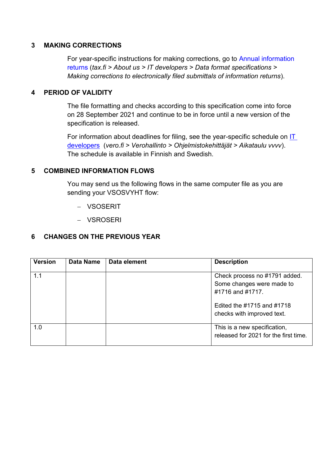#### <span id="page-2-0"></span>**3 MAKING CORRECTIONS**

For year-specific instructions for making corrections, go to [Annual information](https://www.vero.fi/en/About-us/it_developer/data-format-specifications/annual_information_returns__instruction/)  [returns](https://www.vero.fi/en/About-us/it_developer/data-format-specifications/annual_information_returns__instruction/) (*tax.fi > About us > IT developers > Data format specifications > Making corrections to electronically filed submittals of information returns*).

#### <span id="page-2-1"></span>**4 PERIOD OF VALIDITY**

The file formatting and checks according to this specification come into force on 28 September 2021 and continue to be in force until a new version of the specification is released.

For information about deadlines for filing, see the year-specific schedule on  $I\overline{I}$ [developers](https://www.vero.fi/tietoa-verohallinnosta/kehittaja/) (*vero.fi > Verohallinto > Ohjelmistokehittäjät > Aikataulu vvvv*). The schedule is available in Finnish and Swedish.

#### <span id="page-2-2"></span>**5 COMBINED INFORMATION FLOWS**

You may send us the following flows in the same computer file as you are sending your VSOSVYHT flow:

- − VSOSERIT
- − VSROSERI

# <span id="page-2-3"></span>**6 CHANGES ON THE PREVIOUS YEAR**

| <b>Version</b> | Data Name | Data element | <b>Description</b>                                                             |
|----------------|-----------|--------------|--------------------------------------------------------------------------------|
| 1.1            |           |              | Check process no #1791 added.<br>Some changes were made to<br>#1716 and #1717. |
|                |           |              | Edited the #1715 and #1718<br>checks with improved text.                       |
| 1.0            |           |              | This is a new specification,<br>released for 2021 for the first time.          |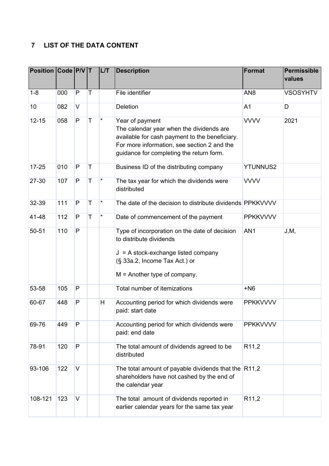# <span id="page-3-0"></span>**7 LIST OF THE DATA CONTENT**

| Position Code P/V T |     |              |             | LT       | <b>Description</b>                                                                                                                                                                                       | <b>Format</b>     | Permissible<br>values |
|---------------------|-----|--------------|-------------|----------|----------------------------------------------------------------------------------------------------------------------------------------------------------------------------------------------------------|-------------------|-----------------------|
| $1 - 8$             | 000 | P            | т           |          | File identifier                                                                                                                                                                                          | AN <sub>8</sub>   | <b>VSOSYHTV</b>       |
| 10                  | 082 | $\vee$       |             |          | Deletion                                                                                                                                                                                                 | A <sub>1</sub>    | D                     |
| $12 - 15$           | 058 | P            | T           | $\star$  | Year of payment<br>The calendar year when the dividends are<br>available for cash payment to the beneficiary.<br>For more information, see section 2 and the<br>guidance for completing the return form. | <b>VVVV</b>       | 2021                  |
| $17 - 25$           | 010 | $\mathsf{P}$ | T           |          | Business ID of the distributing company                                                                                                                                                                  | <b>YTUNNUS2</b>   |                       |
| 27-30               | 107 | P            | $\mathsf T$ | $^\star$ | The tax year for which the dividends were<br>distributed                                                                                                                                                 | <b>VVVV</b>       |                       |
| 32-39               | 111 | $\mathsf{P}$ | $\mathsf T$ | $\star$  | The date of the decision to distribute dividends PPKKVVVV                                                                                                                                                |                   |                       |
| 41-48               | 112 | P            | T           | $\star$  | Date of commencement of the payment                                                                                                                                                                      | <b>PPKKVVVV</b>   |                       |
| 50-51               | 110 | P            |             |          | Type of incorporation on the date of decision<br>to distribute dividends<br>$J = A$ stock-exchange listed company<br>(§ 33a.2, Income Tax Act.) or<br>$M =$ Another type of company.                     | AN <sub>1</sub>   | J, M,                 |
| 53-58               | 105 | P            |             |          | Total number of itemizations                                                                                                                                                                             | $+N6$             |                       |
| 60-67               | 448 | $\mathsf{P}$ |             | H        | Accounting period for which dividends were<br>paid: start date                                                                                                                                           | <b>PPKKVVVV</b>   |                       |
| 69-76               | 449 | P            |             |          | Accounting period for which dividends were<br>paid: end date                                                                                                                                             | <b>PPKKVVVV</b>   |                       |
| 78-91               | 120 | $\mathsf{P}$ |             |          | The total amount of dividends agreed to be<br>distributed                                                                                                                                                | R <sub>11,2</sub> |                       |
| 93-106              | 122 | V            |             |          | The total amount of payable dividends that the $ R11,2$<br>shareholders have not cashed by the end of<br>the calendar year                                                                               |                   |                       |
| 108-121             | 123 | V            |             |          | The total amount of dividends reported in<br>earlier calendar years for the same tax year                                                                                                                | R <sub>11,2</sub> |                       |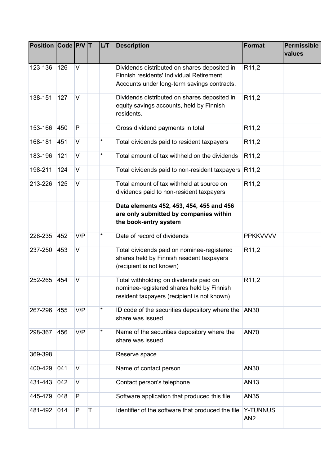| <b>Position Code P/V T</b> |     |        |   | L/T      | <b>Description</b>                                                                                                                      | <b>Format</b>               | Permissible<br>values |
|----------------------------|-----|--------|---|----------|-----------------------------------------------------------------------------------------------------------------------------------------|-----------------------------|-----------------------|
| 123-136                    | 126 | $\vee$ |   |          | Dividends distributed on shares deposited in<br>Finnish residents' Individual Retirement<br>Accounts under long-term savings contracts. | R <sub>11,2</sub>           |                       |
| 138-151                    | 127 | $\vee$ |   |          | Dividends distributed on shares deposited in<br>equity savings accounts, held by Finnish<br>residents.                                  | R <sub>11,2</sub>           |                       |
| 153-166                    | 450 | P      |   |          | Gross dividend payments in total                                                                                                        | R <sub>11,2</sub>           |                       |
| 168-181                    | 451 | V      |   | $^\star$ | Total dividends paid to resident taxpayers                                                                                              | R <sub>11,2</sub>           |                       |
| 183-196                    | 121 | V      |   | $\star$  | Total amount of tax withheld on the dividends                                                                                           | R <sub>11,2</sub>           |                       |
| 198-211                    | 124 | V      |   |          | Total dividends paid to non-resident taxpayers $ R11,2\rangle$                                                                          |                             |                       |
| 213-226                    | 125 | V      |   |          | Total amount of tax withheld at source on<br>dividends paid to non-resident taxpayers                                                   | R <sub>11,2</sub>           |                       |
|                            |     |        |   |          | Data elements 452, 453, 454, 455 and 456<br>are only submitted by companies within<br>the book-entry system                             |                             |                       |
| 228-235                    | 452 | V/P    |   | *        | Date of record of dividends                                                                                                             | <b>PPKKVVVV</b>             |                       |
| 237-250                    | 453 | V      |   |          | Total dividends paid on nominee-registered<br>shares held by Finnish resident taxpayers<br>(recipient is not known)                     | R <sub>11,2</sub>           |                       |
| 252-265                    | 454 | V      |   |          | Total withholding on dividends paid on<br>nominee-registered shares held by Finnish<br>resident taxpayers (recipient is not known)      | R <sub>11,2</sub>           |                       |
| 267-296                    | 455 | V/P    |   | $^\star$ | ID code of the securities depository where the AN30<br>share was issued                                                                 |                             |                       |
| 298-367                    | 456 | V/P    |   | $^\star$ | Name of the securities depository where the<br>share was issued                                                                         | <b>AN70</b>                 |                       |
| 369-398                    |     |        |   |          | Reserve space                                                                                                                           |                             |                       |
| 400-429                    | 041 | $\vee$ |   |          | Name of contact person                                                                                                                  | AN30                        |                       |
| 431-443                    | 042 | V      |   |          | Contact person's telephone                                                                                                              | <b>AN13</b>                 |                       |
| 445-479                    | 048 | P      |   |          | Software application that produced this file                                                                                            | <b>AN35</b>                 |                       |
| 481-492                    | 014 | P      | Τ |          | Identifier of the software that produced the file                                                                                       | Y-TUNNUS<br>AN <sub>2</sub> |                       |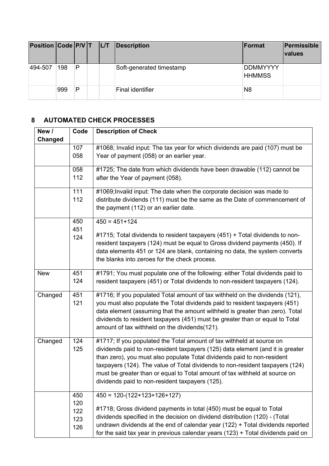| Position Code P/V T L/T |     |              |  | Description              | <b> Format</b>                   | Permissible<br><b>values</b> |
|-------------------------|-----|--------------|--|--------------------------|----------------------------------|------------------------------|
| 494-507                 | 198 | $\mathsf{P}$ |  | Soft-generated timestamp | <b>DDMMYYYY</b><br><b>HHMMSS</b> |                              |
|                         | 999 | P            |  | Final identifier         | N <sub>8</sub>                   |                              |

# <span id="page-5-0"></span>**8 AUTOMATED CHECK PROCESSES**

| New /          | Code       | <b>Description of Check</b>                                                                                                                              |
|----------------|------------|----------------------------------------------------------------------------------------------------------------------------------------------------------|
| <b>Changed</b> |            |                                                                                                                                                          |
|                | 107        | #1068; Invalid input: The tax year for which dividends are paid (107) must be                                                                            |
|                | 058        | Year of payment (058) or an earlier year.                                                                                                                |
|                | 058        | #1725; The date from which dividends have been drawable (112) cannot be                                                                                  |
|                | 112        | after the Year of payment (058).                                                                                                                         |
|                | 111        | #1069; Invalid input: The date when the corporate decision was made to                                                                                   |
|                | 112        | distribute dividends (111) must be the same as the Date of commencement of                                                                               |
|                |            | the payment (112) or an earlier date.                                                                                                                    |
|                | 450<br>451 | $450 = 451 + 124$                                                                                                                                        |
|                | 124        | #1715; Total dividends to resident taxpayers (451) + Total dividends to non-                                                                             |
|                |            | resident taxpayers (124) must be equal to Gross dividend payments (450). If                                                                              |
|                |            | data elements 451 or 124 are blank, containing no data, the system converts                                                                              |
|                |            | the blanks into zeroes for the check process.                                                                                                            |
| <b>New</b>     | 451        | #1791; You must populate one of the following: either Total dividends paid to                                                                            |
|                | 124        | resident taxpayers (451) or Total dividends to non-resident taxpayers (124).                                                                             |
| Changed        | 451        | #1716; If you populated Total amount of tax withheld on the dividends (121),                                                                             |
|                | 121        | you must also populate the Total dividends paid to resident taxpayers (451)                                                                              |
|                |            | data element (assuming that the amount withheld is greater than zero). Total                                                                             |
|                |            | dividends to resident taxpayers (451) must be greater than or equal to Total<br>amount of tax withheld on the dividends(121).                            |
|                |            |                                                                                                                                                          |
| Changed        | 124        | #1717; If you populated the Total amount of tax withheld at source on                                                                                    |
|                | 125        | dividends paid to non-resident taxpayers (125) data element (and it is greater                                                                           |
|                |            | than zero), you must also populate Total dividends paid to non-resident<br>taxpayers (124). The value of Total dividends to non-resident taxpayers (124) |
|                |            | must be greater than or equal to Total amount of tax withheld at source on                                                                               |
|                |            | dividends paid to non-resident taxpayers (125).                                                                                                          |
|                | 450        |                                                                                                                                                          |
|                | 120        | $450 = 120-(122+123+126+127)$                                                                                                                            |
|                | 122        | #1718; Gross dividend payments in total (450) must be equal to Total                                                                                     |
|                | 123        | dividends specified in the decision on dividend distribution (120) - (Total                                                                              |
|                | 126        | undrawn dividends at the end of calendar year (122) + Total dividends reported                                                                           |
|                |            | for the said tax year in previous calendar years $(123)$ + Total dividends paid on                                                                       |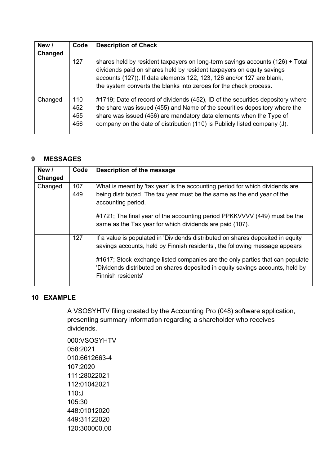| New /   | Code                     | <b>Description of Check</b>                                                                                                                                                                                                                                                                                       |
|---------|--------------------------|-------------------------------------------------------------------------------------------------------------------------------------------------------------------------------------------------------------------------------------------------------------------------------------------------------------------|
| Changed |                          |                                                                                                                                                                                                                                                                                                                   |
|         | 127                      | shares held by resident taxpayers on long-term savings accounts (126) + Total<br>dividends paid on shares held by resident taxpayers on equity savings<br>accounts (127)). If data elements 122, 123, 126 and/or 127 are blank,<br>the system converts the blanks into zeroes for the check process.              |
| Changed | 110<br>452<br>455<br>456 | #1719; Date of record of dividends (452), ID of the securities depository where<br>the share was issued (455) and Name of the securities depository where the<br>share was issued (456) are mandatory data elements when the Type of<br>company on the date of distribution (110) is Publicly listed company (J). |

# <span id="page-6-0"></span>**9 MESSAGES**

| New /   | Code       | Description of the message                                                                                                                                                            |
|---------|------------|---------------------------------------------------------------------------------------------------------------------------------------------------------------------------------------|
| Changed |            |                                                                                                                                                                                       |
| Changed | 107<br>449 | What is meant by 'tax year' is the accounting period for which dividends are<br>being distributed. The tax year must be the same as the end year of the<br>accounting period.         |
|         |            | #1721; The final year of the accounting period PPKKVVVV (449) must be the<br>same as the Tax year for which dividends are paid (107).                                                 |
|         | 127        | If a value is populated in 'Dividends distributed on shares deposited in equity<br>savings accounts, held by Finnish residents', the following message appears                        |
|         |            | #1617; Stock-exchange listed companies are the only parties that can populate<br>'Dividends distributed on shares deposited in equity savings accounts, held by<br>Finnish residents' |

# <span id="page-6-1"></span>**10 EXAMPLE**

A VSOSYHTV filing created by the Accounting Pro (048) software application, presenting summary information regarding a shareholder who receives dividends.

000:VSOSYHTV 058:2021 010:6612663-4 107:2020 111:28022021 112:01042021 110:J 105:30 448:01012020 449:31122020 120:300000,00